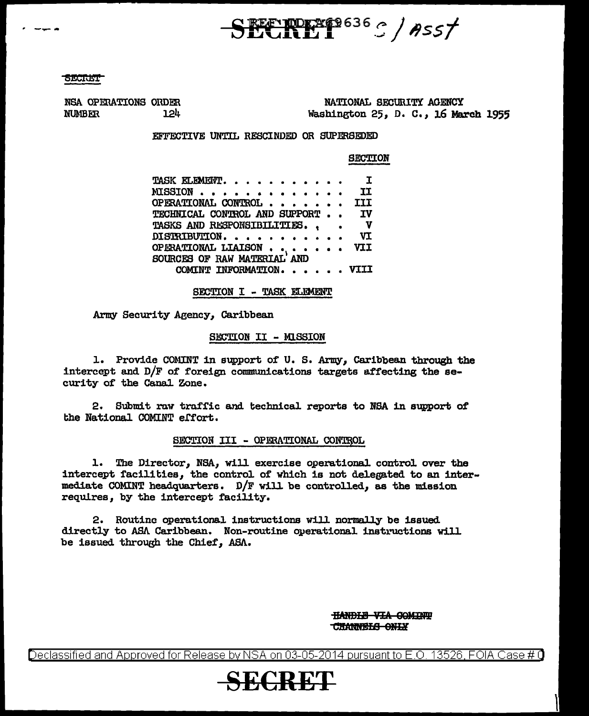**NORXE9636 C / ASS/** 

NSA OPERATIONS ORDER **NUMBER** 124

NATIONAL SECURITY AGENCY Washington 25, D. C., 16 March 1955

## EFFECTIVE UNTIL RESCINDED OR SUPERSEDED

**SECTION** 

| TASK ELEMENT.                                             |  | $\mathbf{I}$ |
|-----------------------------------------------------------|--|--------------|
| MISSION                                                   |  | IJ           |
| OPERATIONAL CONTROL                                       |  | III          |
| TECHNICAL CONTROL AND SUPPORT                             |  | <b>IV</b>    |
| <b>TASKS AND RESPONSIBILITIES</b>                         |  | <b>V</b>     |
| DISTRIBUTION.                                             |  | VI           |
| <b>OPERATIONAL LIAISON</b><br>SOURCES OF RAW MATERIAL AND |  | VII          |
|                                                           |  |              |
| COMINT INFORMATION.                                       |  | VTTT         |

SECTION I - TASK ELEMENT

Army Security Agency, Caribbean

# SECTION II - MISSION

1. Provide COMINT in support of U.S. Army, Caribbean through the intercept and D/F of foreign communications targets affecting the security of the Canal Zone.

2. Submit raw traffic and technical reports to NSA in support of the National COMINT effort.

# SECTION III - OPERATIONAL CONTROL

1. The Director, NSA, will exercise operational control over the intercept facilities, the control of which is not delegated to an intermediate COMINT headquarters.  $D/F$  will be controlled, as the mission requires, by the intercept facility.

2. Routine operational instructions will normally be issued directly to ASA Caribbean. Non-routine operational instructions will be issued through the Chief, ASA.

> **HANDLE VIA COMINT CHANNELS ONLY**

Declassified and Approved for Release by NSA on 03-05-2014 pursuant to E.O. 13526, FOIA Case # 0

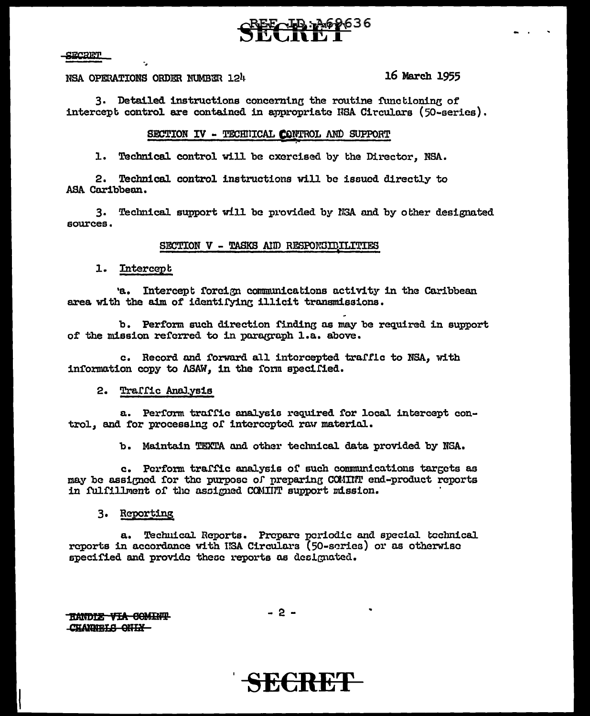**SICRET** 

NSA OPERATIONS ORDER NUMBER 124

16 March 1955

3. Detailed instructions concerning the routine functioning of intercept control are contained in appropriate NSA Circulars (50-series).

# SECTION IV - TECHNICAL CONTROL AND SUPPORT

1. Technical control will be exercised by the Director. NSA.

2. Technical control instructions will be issued directly to ASA Caribbean.

3. Technical support will be provided by NSA and by other designated sources.

### SECTION V - TASKS AND RESPONSIBILITIES

1. Intercept

'a. Intercept forcign communications activity in the Caribbean area with the aim of identifying illicit transmissions.

b. Perform such direction finding as may be required in support of the mission referred to in paragraph l.a. above.

c. Record and forward all intercepted traffic to NSA, with information copy to ASAW, in the form specified.

### 2. Traffic Analysis

a. Perform traffic analysis required for local intercept control, and for processing of intercepted raw material.

b. Maintain TEXTA and other technical data provided by NSA.

c. Perform traffic analysis of such communications targets as may be assigned for the purpose of preparing COMINT end-product reports in fulfillment of the assigned COMINT support mission.

### 3. Reporting

a. Technical Reports. Prepare periodic and special technical reports in accordance with ISA Circulars (50-series) or as otherwise specified and provide these reports as designated.

**TIANDIE VIA COMINT** CHANNELS ONLY

 $-2-$ 

SECRET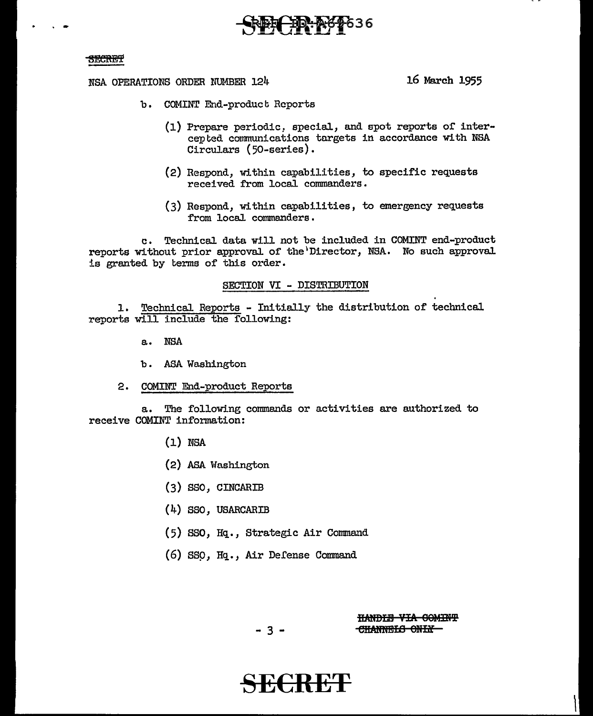# ID:A69636

### **SECRET**

NSA OPERATIONS ORDER NUMBER 124

16 March 1955

- b. COMINT End-product Reports
	- (1) Prepare periodic, special, and spot reports of intercepted communications targets in accordance with NSA Circulars (50-series).
	- (2) Respond, within capabilities, to specific requests received from local commanders.
	- (3) Respond, within capabilities, to emergency requests from local commanders.

Technical data will not be included in COMINT end-product  $\mathbf{c}$ . reports without prior approval of the Director, NSA. No such approval is granted by terms of this order.

### SECTION VI - DISTRIBUTION

1. Technical Reports - Initially the distribution of technical reports will include the following:

- a. NSA
- b. ASA Washington
- 2. COMINT End-product Reports

The following commands or activities are authorized to  $a_{\bullet}$ receive COMINT information:

- $(1)$  NSA
- (2) ASA Washington
- $(3)$  SSO, CINCARIB
- $(4)$  SSO, USARCARIB
- (5) SSO, Hq., Strategic Air Command
- (6) SSO, Hq., Air Defense Command

**HANDLE VIA COMINT** CHANNELS ONLY

 $-3 -$ 

**ECREP**